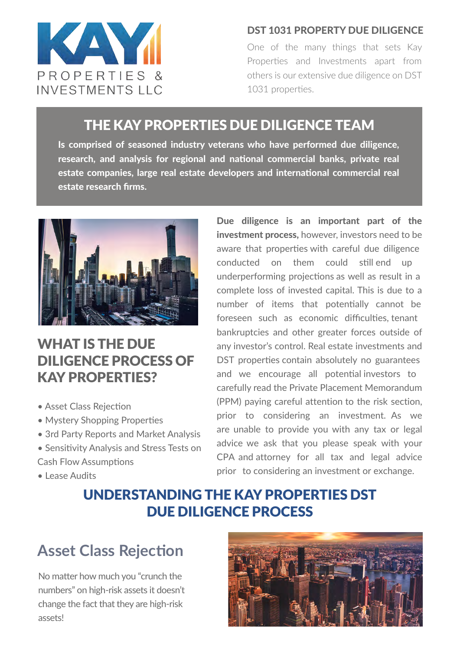

#### DST 1031 PROPERTY DUE DILIGENCE

One of the many things that sets Kay Properties and Investments apart from others is our extensive due diligence on DST 1031 properties.

### THE KAY PROPERTIES DUE DILIGENCE TEAM

Is comprised of seasoned industry veterans who have performed due diligence, research, and analysis for regional and national commercial banks, private real estate companies, large real estate developers and international commercial real estate research firms.



# WHAT IS THE DUE DILIGENCE PROCESS OF KAY PROPERTIES?

- Asset Class Rejection
- Mystery Shopping Properties
- 3rd Party Reports and Market Analysis
- Sensitivity Analysis and Stress Tests on Cash Flow Assumptions
- Lease Audits

Due diligence is an important part of the investment process, however, investors need to be aware that properties with careful due diligence conducted on them could still end up underperforming projections as well as result in a complete loss of invested capital. This is due to a number of items that potentially cannot be foreseen such as economic difficulties, tenant bankruptcies and other greater forces outside of any investor's control. Real estate investments and DST properties contain absolutely no guarantees and we encourage all potential investors to carefully read the Private Placement Memorandum (PPM) paying careful attention to the risk section, prior to considering an investment. As we are unable to provide you with any tax or legal advice we ask that you please speak with your CPA and attorney for all tax and legal advice prior to considering an investment or exchange.

# UNDERSTANDING THE KAY PROPERTIES DST DUE DILIGENCE PROCESS

# **Asset Class Rejection**

No matter how much you "crunch the numbers" on high-risk assets it doesn't change the fact that they are high-risk assets!

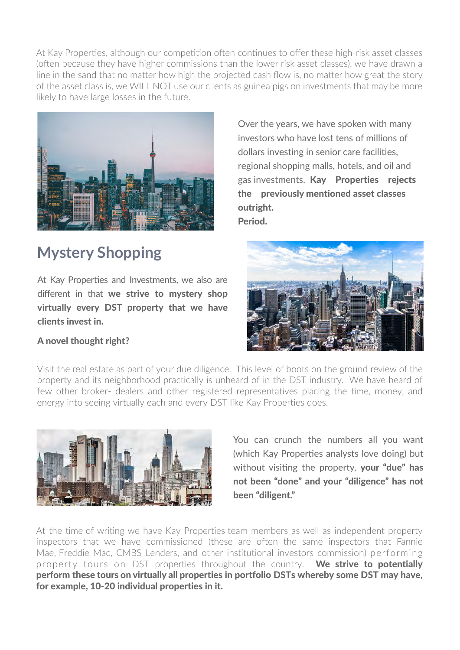At Kay Properties, although our competition often continues to offer these high-risk asset classes (often because they have higher commissions than the lower risk asset classes), we have drawn a line in the sand that no matter how high the projected cash flow is, no matter how great the story of the asset class is, we WILL NOT use our clients as guinea pigs on investments that may be more likely to have large losses in the future.



**Mystery Shopping**

At Kay Properties and Investments, we also are different in that we strive to mystery shop virtually every DST property that we have clients invest in.

A novel thought right?

Over the years, we have spoken with many investors who have lost tens of millions of dollars investing in senior care facilities, regional shopping malls, hotels, and oil and gas investments. Kay Properties rejects the previously mentioned asset classes outright.

Period.



Visit the real estate as part of your due diligence. This level of boots on the ground review of the property and its neighborhood practically is unheard of in the DST industry. We have heard of few other broker- dealers and other registered representatives placing the time, money, and energy into seeing virtually each and every DST like Kay Properties does.



You can crunch the numbers all you want (which Kay Properties analysts love doing) but without visiting the property, your "due" has not been "done" and your "diligence" has not been "diligent."

At the time of writing we have Kay Properties team members as well as independent property inspectors that we have commissioned (these are often the same inspectors that Fannie Mae, Freddie Mac, CMBS Lenders, and other institutional investors commission) performing property tours on DST properties throughout the country. We strive to potentially perform these tours on virtually all properties in portfolio DSTs whereby some DST may have, for example, 10-20 individual properties in it.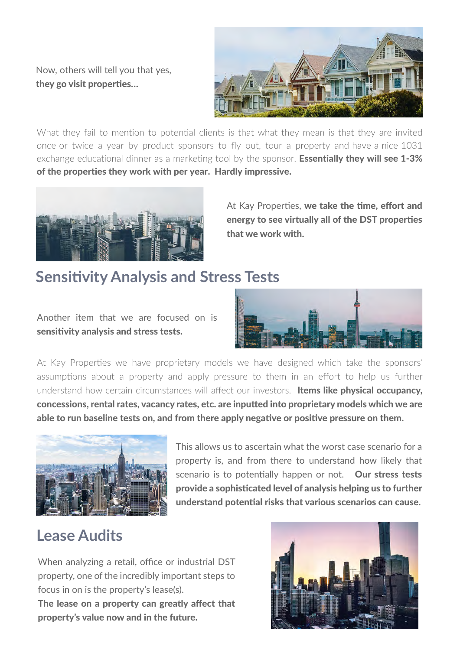Now, others will tell you that yes, they go visit properties…



What they fail to mention to potential clients is that what they mean is that they are invited once or twice a year by product sponsors to fly out, tour a property and have a nice 1031 exchange educational dinner as a marketing tool by the sponsor. **Essentially they will see 1-3%** of the properties they work with per year. Hardly impressive.



At Kay Properties, we take the time, effort and energy to see virtually all of the DST properties that we work with.

### **Sensitivity Analysis and Stress Tests**

Another item that we are focused on is sensitivity analysis and stress tests.



At Kay Properties we have proprietary models we have designed which take the sponsors' assumptions about a property and apply pressure to them in an effort to help us further understand how certain circumstances will affect our investors. Items like physical occupancy, concessions, rental rates, vacancy rates, etc. are inputted into proprietary models which we are able to run baseline tests on, and from there apply negative or positive pressure on them.



This allows us to ascertain what the worst case scenario for a property is, and from there to understand how likely that scenario is to potentially happen or not. Our stress tests provide a sophisticated level of analysis helping us to further understand potential risks that various scenarios can cause.

# **Lease Audits**

When analyzing a retail, office or industrial DST property, one of the incredibly important steps to focus in on is the property's lease(s). The lease on a property can greatly affect that property's value now and in the future.

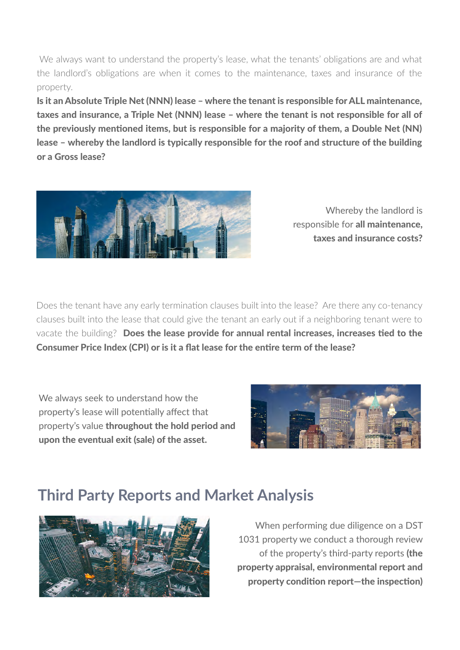We always want to understand the property's lease, what the tenants' obligations are and what the landlord's obligations are when it comes to the maintenance, taxes and insurance of the property.

Is it an Absolute Triple Net (NNN) lease – where the tenant is responsible for ALL maintenance, taxes and insurance, a Triple Net (NNN) lease – where the tenant is not responsible for all of the previously mentioned items, but is responsible for a majority of them, a Double Net (NN) lease – whereby the landlord is typically responsible for the roof and structure of the building or a Gross lease?



Whereby the landlord is responsible for all maintenance, taxes and insurance costs?

Does the tenant have any early termination clauses built into the lease? Are there any co-tenancy clauses built into the lease that could give the tenant an early out if a neighboring tenant were to vacate the building? Does the lease provide for annual rental increases, increases tied to the Consumer Price Index (CPI) or is it a flat lease for the entire term of the lease?

We always seek to understand how the property's lease will potentially affect that property's value throughout the hold period and upon the eventual exit (sale) of the asset.



# **Third Party Reports and Market Analysis**



When performing due diligence on a DST 1031 property we conduct a thorough review of the property's third-party reports (the property appraisal, environmental report and property condition report—the inspection)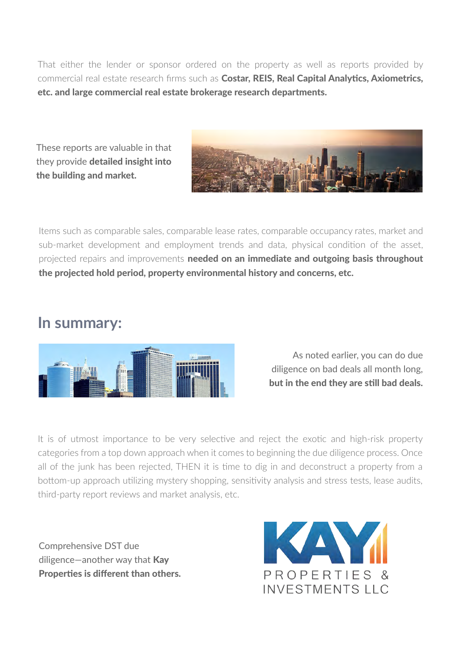That either the lender or sponsor ordered on the property as well as reports provided by commercial real estate research firms such as Costar, REIS, Real Capital Analytics, Axiometrics, etc. and large commercial real estate brokerage research departments.

These reports are valuable in that they provide detailed insight into the building and market.



Items such as comparable sales, comparable lease rates, comparable occupancy rates, market and sub-market development and employment trends and data, physical condition of the asset, projected repairs and improvements needed on an immediate and outgoing basis throughout the projected hold period, property environmental history and concerns, etc.

### **In summary:**



As noted earlier, you can do due diligence on bad deals all month long, but in the end they are still bad deals.

It is of utmost importance to be very selective and reject the exotic and high-risk property categories from a top down approach when it comes to beginning the due diligence process. Once all of the junk has been rejected, THEN it is time to dig in and deconstruct a property from a bottom-up approach utilizing mystery shopping, sensitivity analysis and stress tests, lease audits, third-party report reviews and market analysis, etc.

Comprehensive DST due diligence—another way that **Kay** Properties is different than others.